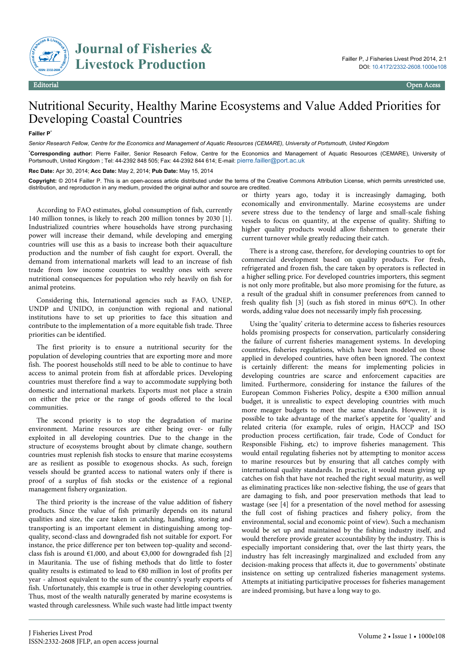

## **Journal of Fisheries & Livestock Production**

## Nutritional Security, Healthy Marine Ecosystems and Value Added Priorities for Developing Coastal Countries

**Failler P**\*

*Senior Research Fellow, Centre for the Economics and Management of Aquatic Resources (CEMARE), University of Portsmouth, United Kingdom*

\***Corresponding author:** Pierre Failler, Senior Research Fellow, Centre for the Economics and Management of Aquatic Resources (CEMARE), University of Portsmouth, United Kingdom ; Tel: 44-2392 848 505; Fax: 44-2392 844 614; E-mail: [pierre.failler@port.ac.uk](mailto:pierre.failler@port.ac.uk)

**Rec Date:** Apr 30, 2014; **Acc Date:** May 2, 2014; **Pub Date:** May 15, 2014

**Copyright:** © 2014 Failler P. This is an open-access article distributed under the terms of the Creative Commons Attribution License, which permits unrestricted use, distribution, and reproduction in any medium, provided the original author and source are credited.

According to FAO estimates, global consumption of fish, currently 140 million tonnes, is likely to reach 200 million tonnes by 2030 [1]. Industrialized countries where households have strong purchasing power will increase their demand, while developing and emerging countries will use this as a basis to increase both their aquaculture production and the number of fish caught for export. Overall, the demand from international markets will lead to an increase of fish trade from low income countries to wealthy ones with severe nutritional consequences for population who rely heavily on fish for animal proteins.

Considering this, International agencies such as FAO, UNEP, UNDP and UNIDO, in conjunction with regional and national institutions have to set up priorities to face this situation and contribute to the implementation of a more equitable fish trade. Three priorities can be identified.

The first priority is to ensure a nutritional security for the population of developing countries that are exporting more and more fish. The poorest households still need to be able to continue to have access to animal protein from fish at affordable prices. Developing countries must therefore find a way to accommodate supplying both domestic and international markets. Exports must not place a strain on either the price or the range of goods offered to the local communities.

The second priority is to stop the degradation of marine environment. Marine resources are either being over- or fully exploited in all developing countries. Due to the change in the structure of ecosystems brought about by climate change, southern countries must replenish fish stocks to ensure that marine ecosystems are as resilient as possible to exogenous shocks. As such, foreign vessels should be granted access to national waters only if there is proof of a surplus of fish stocks or the existence of a regional management fishery organization.

The third priority is the increase of the value addition of fishery products. Since the value of fish primarily depends on its natural qualities and size, the care taken in catching, handling, storing and transporting is an important element in distinguishing among topquality, second-class and downgraded fish not suitable for export. For instance, the price difference per ton between top-quality and secondclass fish is around  $\epsilon$ 1,000, and about  $\epsilon$ 3,000 for downgraded fish [2] in Mauritania. The use of fishing methods that do little to foster quality results is estimated to lead to €80 million in lost of profits per year - almost equivalent to the sum of the country's yearly exports of fish. Unfortunately, this example is true in other developing countries. Thus, most of the wealth naturally generated by marine ecosystems is wasted through carelessness. While such waste had little impact twenty or thirty years ago, today it is increasingly damaging, both economically and environmentally. Marine ecosystems are under severe stress due to the tendency of large and small-scale fishing vessels to focus on quantity, at the expense of quality. Shifting to higher quality products would allow fishermen to generate their current turnover while greatly reducing their catch.

There is a strong case, therefore, for developing countries to opt for commercial development based on quality products. For fresh, refrigerated and frozen fish, the care taken by operators is reflected in a higher selling price. For developed countries importers, this segment is not only more profitable, but also more promising for the future, as a result of the gradual shift in consumer preferences from canned to fresh quality fish  $[3]$  (such as fish stored in minus 60°C). In other words, adding value does not necessarily imply fish processing.

Using the 'quality' criteria to determine access to fisheries resources holds promising prospects for conservation, particularly considering the failure of current fisheries management systems. In developing countries, fisheries regulations, which have been modeled on those applied in developed countries, have often been ignored. The context is certainly different: the means for implementing policies in developing countries are scarce and enforcement capacities are limited. Furthermore, considering for instance the failures of the European Common Fisheries Policy, despite a €300 million annual budget, it is unrealistic to expect developing countries with much more meager budgets to meet the same standards. However, it is possible to take advantage of the market's appetite for 'quality' and related criteria (for example, rules of origin, HACCP and ISO production process certification, fair trade, Code of Conduct for Responsible Fishing, etc) to improve fisheries management. This would entail regulating fisheries not by attempting to monitor access to marine resources but by ensuring that all catches comply with international quality standards. In practice, it would mean giving up catches on fish that have not reached the right sexual maturity, as well as eliminating practices like non-selective fishing, the use of gears that are damaging to fish, and poor preservation methods that lead to wastage (see [4] for a presentation of the novel method for assessing the full cost of fishing practices and fishery policy, from the environmental, social and economic point of view). Such a mechanism would be set up and maintained by the fishing industry itself, and would therefore provide greater accountability by the industry. This is especially important considering that, over the last thirty years, the industry has felt increasingly marginalized and excluded from any decision-making process that affects it, due to governments' obstinate insistence on setting up centralized fisheries management systems. Attempts at initiating participative processes for fisheries management are indeed promising, but have a long way to go.